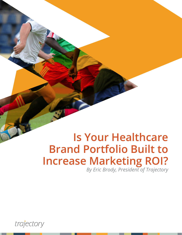# **Is Your Healthcare Brand Portfolio Built to Increase Marketing ROI?**

*By Eric Brody, President of Trajectory*

trajectory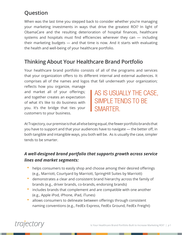# **Question**

When was the last time you stepped back to consider whether you're managing your marketing investments in ways that drive the greatest ROI? In light of ObamaCare and the resulting deterioration of hospital finances, healthcare systems and hospitals must find efficiencies wherever they can — including their marketing budgets — and that time is now. And it starts with evaluating the health and well-being of your healthcare portfolio.

## **Thinking About Your Healthcare Brand Portfolio**

Your healthcare brand portfolio consists of all of the programs and services that your organization offers to its different internal and external audiences. It comprises all of the names and logos that fall underneath your organization;

reflects how you organize, manage and market all of your offerings; and together creates an expectation of what it's like to do business with you. It's the bridge that ties your customers to your business.

AS IS USUALLY THE CASE, SIMPLE TENDS TO BE **SMARTFR** 

At Trajectory, our premise is that all else being equal, the fewer portfolio brands that you have to support and that your audiences have to navigate — the better off, in both tangible and intangible ways, you both will be. As is usually the case, simpler tends to be smarter.

#### *A well-designed brand portfolio that supports growth across service lines and market segments:*

- helps consumers to easily shop and choose among their desired offerings (e.g., Marriott, Courtyard by Marriott, SpringHill Suites by Marriott)
- demonstrates a clear and consistent brand hierarchy across the family of brands (e.g., driver brands, co-brands, endorsing brands)
- includes brands that complement and are compatible with one another (e.g., Apple iPod, iPhone, iPad, iTunes)
- allows consumers to delineate between offerings through consistent naming conventions (e.g., FedEx Express, FedEx Ground, FedEx Freight)

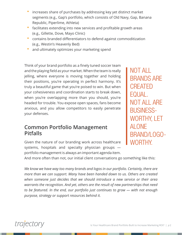- increases share of purchases by addressing key yet distinct market segments (e.g., Gap's portfolio, which consists of Old Navy, Gap, Banana Republic, Piperlime, Athleta)
- facilitates extending into new services and profitable growth areas (e.g., Gillette, Dove, Mayo Clinic)
- contains branded differentiators to defend against commoditization (e.g., Westin's Heavenly Bed)
- and ultimately optimizes your marketing spend

Think of your brand portfolio as a finely tuned soccer team and the playing field as your market. When the team is really jelling, where everyone is moving together and holding their positions, you're operating in perfect harmony. It's truly a beautiful game that you're poised to win. But when your cohesiveness and coordination starts to break down, when you're overlapping more than you should, you're headed for trouble. You expose open spaces, fans become anxious, and you allow competitors to easily penetrate your defenses.

## **Common Portfolio Management Pitfalls**

Given the nature of our branding work across healthcare systems, hospitals and specialty physician groups portfolio management is always an important agenda item. NOT ALL BRANDS ARE **CREATED** EQUAL. NOT ALL ARE BUSINESS-WORTHY, LET ALONE BRAND/LOGO-WORTHY.

And more often than not, our initial client conversations go something like this:

*We know we have way too many brands and logos in our portfolio. Certainly, there are more than we can support. Many have been handed down to us. Others are created when someone just decides that we should introduce a new service or their area warrants the recognition. And yet, others are the result of new partnerships that need to be featured. In the end, our portfolio just continues to grow — with not enough purpose, strategy or support resources behind it.*

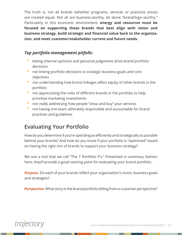The truth is, not all brands (whether programs, services or practices areas) are created equal. Not all are business-worthy, let alone "brand/logo–worthy." Particularly in this economic environment, **energy and resources must be focused on supporting those brands that best align with vision and business strategy, build strategic and financial value back to the organization, and meet customer/stakeholder current and future needs.**

#### *Top portfolio management pitfalls:*

- letting internal opinions and personal judgments drive brand portfolio decisions
- not linking portfolio decisions to strategic business goals and core objectives
- not understanding how brand linkages affect equity of other brands in the portfolio
- not appreciating the roles of different brands in the portfolio to help prioritize marketing investments
- not really addressing how people "shop and buy" your services
- not having one team ultimately responsible and accountable for brand practices and guidelines

## **Evaluating Your Portfolio**

How do you determine if you're spending as efficiently and strategically as possible behind your brands? And how do you know if your portfolio is "optimized" based on having the right mix of brands to support your business strategy?

We use a tool that we call "The 7 Portfolio P's." Presented in summary fashion here, they'll provide a good starting point for evaluating your brand portfolio.

*Purpose.* Do each of your brands reflect your organization's vision, business goals and strategies?

*Perspective.* What story is the brand portfolio telling from a customer perspective?